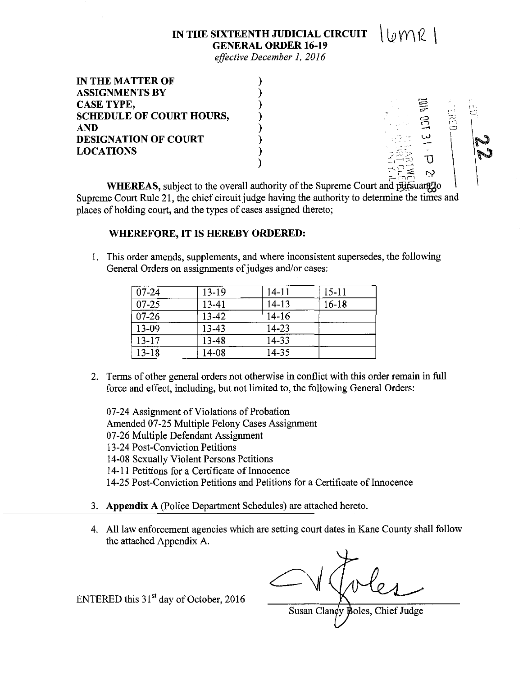## IN THE SIXTEENTH JUDICIAL CIRCUIT  $\bigcup_{\emptyset} \mathcal{W} \mathcal{R}$ **GENERAL ORDER 16-19**

*effective December 1, 2016* 

| <b>IN THE MATTER OF</b>         |              |     |
|---------------------------------|--------------|-----|
| <b>ASSIGNMENTS BY</b>           |              |     |
| <b>CASE TYPE,</b>               |              |     |
| <b>SCHEDULE OF COURT HOURS,</b> | e tri<br>70. |     |
| <b>AND</b>                      |              |     |
| <b>DESIGNATION OF COURT</b>     | سدا          |     |
| <b>LOCATIONS</b>                |              | سمي |
|                                 |              |     |

WHEREAS, subject to the overall authority of the Supreme Court and pursuant to Supreme Court Rule 21, the chief circuit judge having the authority to determine the times and places of holding court, and the types of cases assigned thereto;

## **WHEREFORE, IT IS HEREBY ORDERED:**

1. This order amends, supplements, and where inconsistent supersedes, the following General Orders on assignments of judges and/or cases:

| $07 - 24$ | 13-19 | $14 - 11$ | $15 - 11$ |
|-----------|-------|-----------|-----------|
| $07 - 25$ | 13-41 | $14 - 13$ | $16 - 18$ |
| $07-26$   | 13-42 | $14-16$   |           |
| $13-09$   | 13-43 | $14 - 23$ |           |
| $13 - 17$ | 13-48 | 14-33     |           |
| $13 - 18$ | 14-08 | 14-35     |           |

2. Terms of other general orders not otherwise in conflict with this order remain in **full**  force and effect, including, but not limited to, the following General Orders:

07-24 Assignment of Violations of Probation Amended 07-25 Multiple Felony Cases Assignment 07-26 Multiple Defendant Assignment 13-24 Post-Conviction Petitions 14-08 Sexually Violent Persons Petitions 14-11 Petitions for a Certificate of Innocence 14-25 Post-Conviction Petitions and Petitions for a Certificate of Innocence

- 3. **Appendix A** (Police Department Schedules) are attached hereto.
- 4. All law enforcement agencies which are setting court dates in Kane County shall follow the attached Appendix A.

Susan Clandy Boles, Chief Judge

ENTERED this 31<sup>st</sup> day of October, 2016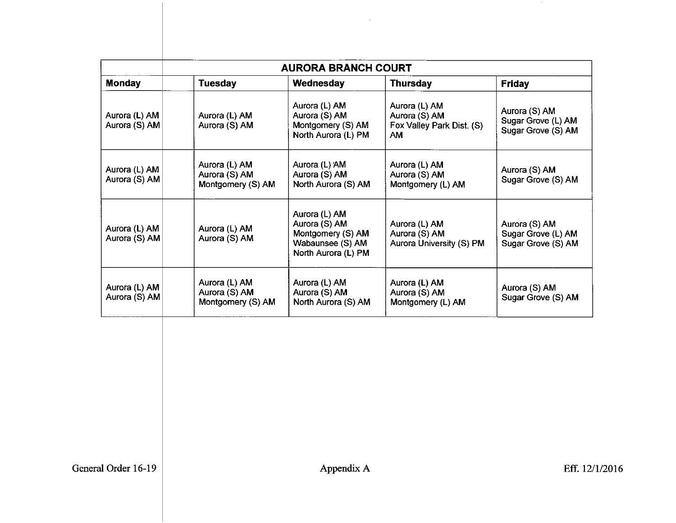| <b>AURORA BRANCH COURT</b>     |                                                     |                                                                                                |                                                                   |                                                           |
|--------------------------------|-----------------------------------------------------|------------------------------------------------------------------------------------------------|-------------------------------------------------------------------|-----------------------------------------------------------|
| <b>Monday</b>                  | <b>Tuesday</b>                                      | Wednesday                                                                                      | <b>Thursday</b>                                                   | <b>Friday</b>                                             |
| Aurora (L) AM<br>Aurora (S) AM | Aurora (L) AM<br>Aurora (S) AM                      | Aurora (L) AM<br>Aurora (S) AM<br>Montgomery (S) AM<br>North Aurora (L) PM                     | Aurora (L) AM<br>Aurora (S) AM<br>Fox Valley Park Dist. (S)<br>АM | Aurora (S) AM<br>Sugar Grove (L) AM<br>Sugar Grove (S) AM |
| Aurora (L) AM<br>Aurora (S) AM | Aurora (L) AM<br>Aurora (S) AM<br>Montgomery (S) AM | Aurora (L) AM<br>Aurora (S) AM<br>North Aurora (S) AM                                          | Aurora (L) AM<br>Aurora (S) AM<br>Montgomery (L) AM               | Aurora (S) AM<br>Sugar Grove (S) AM                       |
| Aurora (L) AM<br>Aurora (S) AM | Aurora (L) AM<br>Aurora (S) AM                      | Aurora (L) AM<br>Aurora (S) AM<br>Montgomery (S) AM<br>Wabaunsee (S) AM<br>North Aurora (L) PM | Aurora (L) AM<br>Aurora (S) AM<br>Aurora University (S) PM        | Aurora (S) AM<br>Sugar Grove (L) AM<br>Sugar Grove (S) AM |
| Aurora (L) AM<br>Aurora (S) AM | Aurora (L) AM<br>Aurora (S) AM<br>Montgomery (S) AM | Aurora (L) AM<br>Aurora (S) AM<br>North Aurora (S) AM                                          | Aurora (L) AM<br>Aurora (S) AM<br>Montgomery (L) AM               | Aurora (S) AM<br>Sugar Grove (S) AM                       |

 $\sim$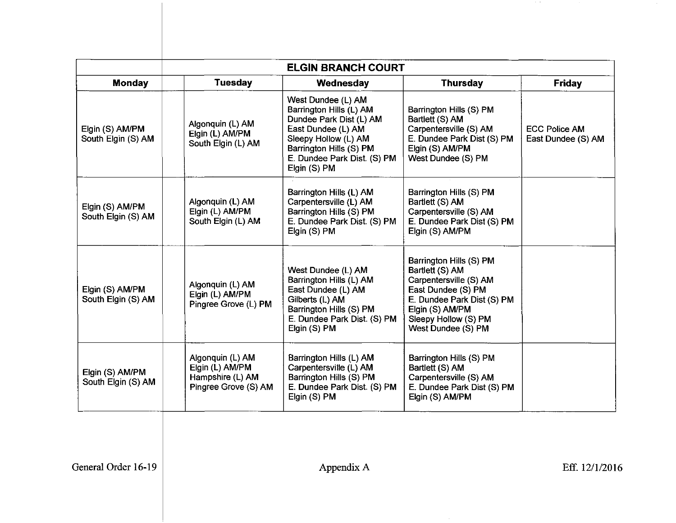|                                       | <b>ELGIN BRANCH COURT</b>                                                       |                                                                                                                                                                                                  |                                                                                                                                                                                           |                                            |
|---------------------------------------|---------------------------------------------------------------------------------|--------------------------------------------------------------------------------------------------------------------------------------------------------------------------------------------------|-------------------------------------------------------------------------------------------------------------------------------------------------------------------------------------------|--------------------------------------------|
| <b>Monday</b>                         | <b>Tuesday</b>                                                                  | Wednesday                                                                                                                                                                                        | <b>Thursday</b>                                                                                                                                                                           | <b>Friday</b>                              |
| Elgin (S) AM/PM<br>South Elgin (S) AM | Algonquin (L) AM<br>Elgin (L) AM/PM<br>South Elgin (L) AM                       | West Dundee (L) AM<br>Barrington Hills (L) AM<br>Dundee Park Dist (L) AM<br>East Dundee (L) AM<br>Sleepy Hollow (L) AM<br>Barrington Hills (S) PM<br>E. Dundee Park Dist. (S) PM<br>Elgin (S) PM | Barrington Hills (S) PM<br>Bartlett (S) AM<br>Carpentersville (S) AM<br>E. Dundee Park Dist (S) PM<br>Elgin (S) AM/PM<br>West Dundee (S) PM                                               | <b>ECC Police AM</b><br>East Dundee (S) AM |
| Elgin (S) AM/PM<br>South Elgin (S) AM | Algonquin (L) AM<br>Elgin (L) AM/PM<br>South Elgin (L) AM                       | Barrington Hills (L) AM<br>Carpentersville (L) AM<br>Barrington Hills (S) PM<br>E. Dundee Park Dist. (S) PM<br>Elgin (S) PM                                                                      | Barrington Hills (S) PM<br>Bartlett (S) AM<br>Carpentersville (S) AM<br>E. Dundee Park Dist (S) PM<br>Elgin (S) AM/PM                                                                     |                                            |
| Elgin (S) AM/PM<br>South Elgin (S) AM | Algonquin (L) AM<br>Elgin (L) AM/PM<br>Pingree Grove (L) PM                     | West Dundee (L) AM<br>Barrington Hills (L) AM<br>East Dundee (L) AM<br>Gilberts (L) AM<br>Barrington Hills (S) PM<br>E. Dundee Park Dist. (S) PM<br>Elgin (S) PM                                 | Barrington Hills (S) PM<br>Bartlett (S) AM<br>Carpentersville (S) AM<br>East Dundee (S) PM<br>E. Dundee Park Dist (S) PM<br>Elgin (S) AM/PM<br>Sleepy Hollow (S) PM<br>West Dundee (S) PM |                                            |
| Elgin (S) AM/PM<br>South Elgin (S) AM | Algonquin (L) AM<br>Elgin (L) AM/PM<br>Hampshire (L) AM<br>Pingree Grove (S) AM | Barrington Hills (L) AM<br>Carpentersville (L) AM<br>Barrington Hills (S) PM<br>E. Dundee Park Dist. (S) PM<br>Elgin (S) PM                                                                      | Barrington Hills (S) PM<br>Bartlett (S) AM<br>Carpentersville (S) AM<br>E. Dundee Park Dist (S) PM<br>Elgin (S) AM/PM                                                                     |                                            |